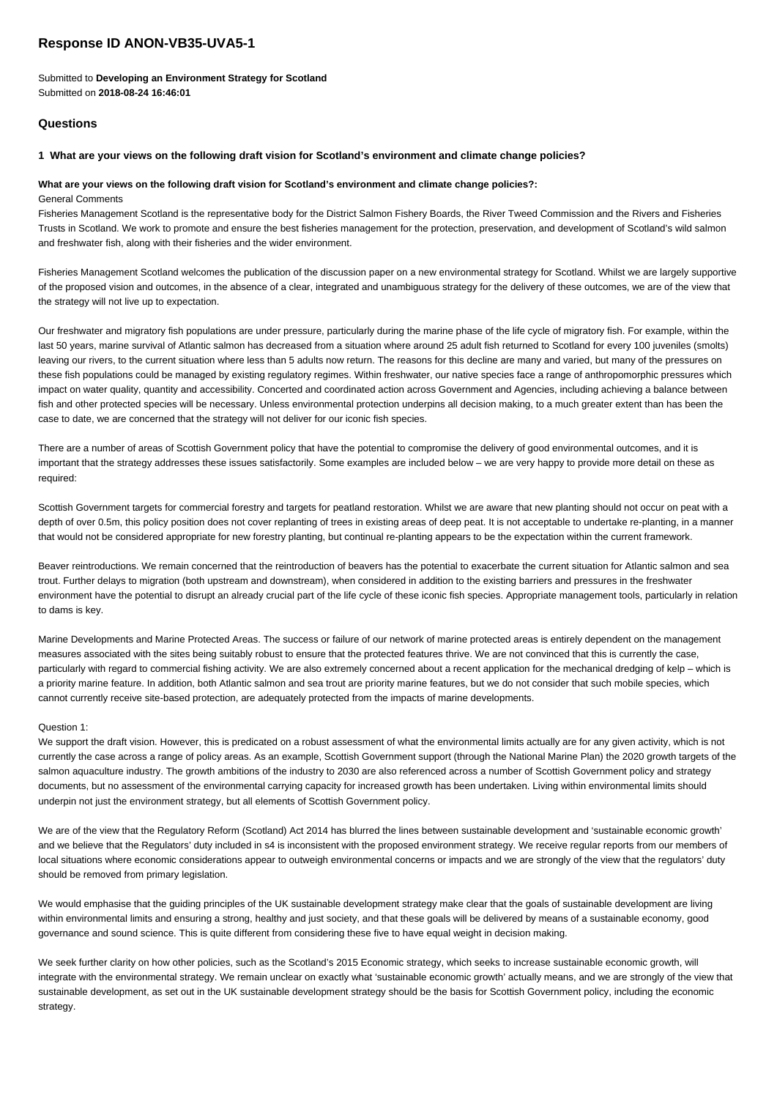# **Response ID ANON-VB35-UVA5-1**

Submitted to **Developing an Environment Strategy for Scotland** Submitted on **2018-08-24 16:46:01**

# **Questions**

### **1 What are your views on the following draft vision for Scotland's environment and climate change policies?**

### **What are your views on the following draft vision for Scotland's environment and climate change policies?:**

### General Comments

Fisheries Management Scotland is the representative body for the District Salmon Fishery Boards, the River Tweed Commission and the Rivers and Fisheries Trusts in Scotland. We work to promote and ensure the best fisheries management for the protection, preservation, and development of Scotland's wild salmon and freshwater fish, along with their fisheries and the wider environment.

Fisheries Management Scotland welcomes the publication of the discussion paper on a new environmental strategy for Scotland. Whilst we are largely supportive of the proposed vision and outcomes, in the absence of a clear, integrated and unambiguous strategy for the delivery of these outcomes, we are of the view that the strategy will not live up to expectation.

Our freshwater and migratory fish populations are under pressure, particularly during the marine phase of the life cycle of migratory fish. For example, within the last 50 years, marine survival of Atlantic salmon has decreased from a situation where around 25 adult fish returned to Scotland for every 100 juveniles (smolts) leaving our rivers, to the current situation where less than 5 adults now return. The reasons for this decline are many and varied, but many of the pressures on these fish populations could be managed by existing regulatory regimes. Within freshwater, our native species face a range of anthropomorphic pressures which impact on water quality, quantity and accessibility. Concerted and coordinated action across Government and Agencies, including achieving a balance between fish and other protected species will be necessary. Unless environmental protection underpins all decision making, to a much greater extent than has been the case to date, we are concerned that the strategy will not deliver for our iconic fish species.

There are a number of areas of Scottish Government policy that have the potential to compromise the delivery of good environmental outcomes, and it is important that the strategy addresses these issues satisfactorily. Some examples are included below – we are very happy to provide more detail on these as required:

Scottish Government targets for commercial forestry and targets for peatland restoration. Whilst we are aware that new planting should not occur on peat with a depth of over 0.5m, this policy position does not cover replanting of trees in existing areas of deep peat. It is not acceptable to undertake re-planting, in a manner that would not be considered appropriate for new forestry planting, but continual re-planting appears to be the expectation within the current framework.

Beaver reintroductions. We remain concerned that the reintroduction of beavers has the potential to exacerbate the current situation for Atlantic salmon and sea trout. Further delays to migration (both upstream and downstream), when considered in addition to the existing barriers and pressures in the freshwater environment have the potential to disrupt an already crucial part of the life cycle of these iconic fish species. Appropriate management tools, particularly in relation to dams is key.

Marine Developments and Marine Protected Areas. The success or failure of our network of marine protected areas is entirely dependent on the management measures associated with the sites being suitably robust to ensure that the protected features thrive. We are not convinced that this is currently the case, particularly with regard to commercial fishing activity. We are also extremely concerned about a recent application for the mechanical dredging of kelp – which is a priority marine feature. In addition, both Atlantic salmon and sea trout are priority marine features, but we do not consider that such mobile species, which cannot currently receive site-based protection, are adequately protected from the impacts of marine developments.

### Question 1:

We support the draft vision. However, this is predicated on a robust assessment of what the environmental limits actually are for any given activity, which is not currently the case across a range of policy areas. As an example, Scottish Government support (through the National Marine Plan) the 2020 growth targets of the salmon aquaculture industry. The growth ambitions of the industry to 2030 are also referenced across a number of Scottish Government policy and strategy documents, but no assessment of the environmental carrying capacity for increased growth has been undertaken. Living within environmental limits should underpin not just the environment strategy, but all elements of Scottish Government policy.

We are of the view that the Regulatory Reform (Scotland) Act 2014 has blurred the lines between sustainable development and 'sustainable economic growth' and we believe that the Regulators' duty included in s4 is inconsistent with the proposed environment strategy. We receive regular reports from our members of local situations where economic considerations appear to outweigh environmental concerns or impacts and we are strongly of the view that the regulators' duty should be removed from primary legislation.

We would emphasise that the guiding principles of the UK sustainable development strategy make clear that the goals of sustainable development are living within environmental limits and ensuring a strong, healthy and just society, and that these goals will be delivered by means of a sustainable economy, good governance and sound science. This is quite different from considering these five to have equal weight in decision making.

We seek further clarity on how other policies, such as the Scotland's 2015 Economic strategy, which seeks to increase sustainable economic growth, will integrate with the environmental strategy. We remain unclear on exactly what 'sustainable economic growth' actually means, and we are strongly of the view that sustainable development, as set out in the UK sustainable development strategy should be the basis for Scottish Government policy, including the economic strategy.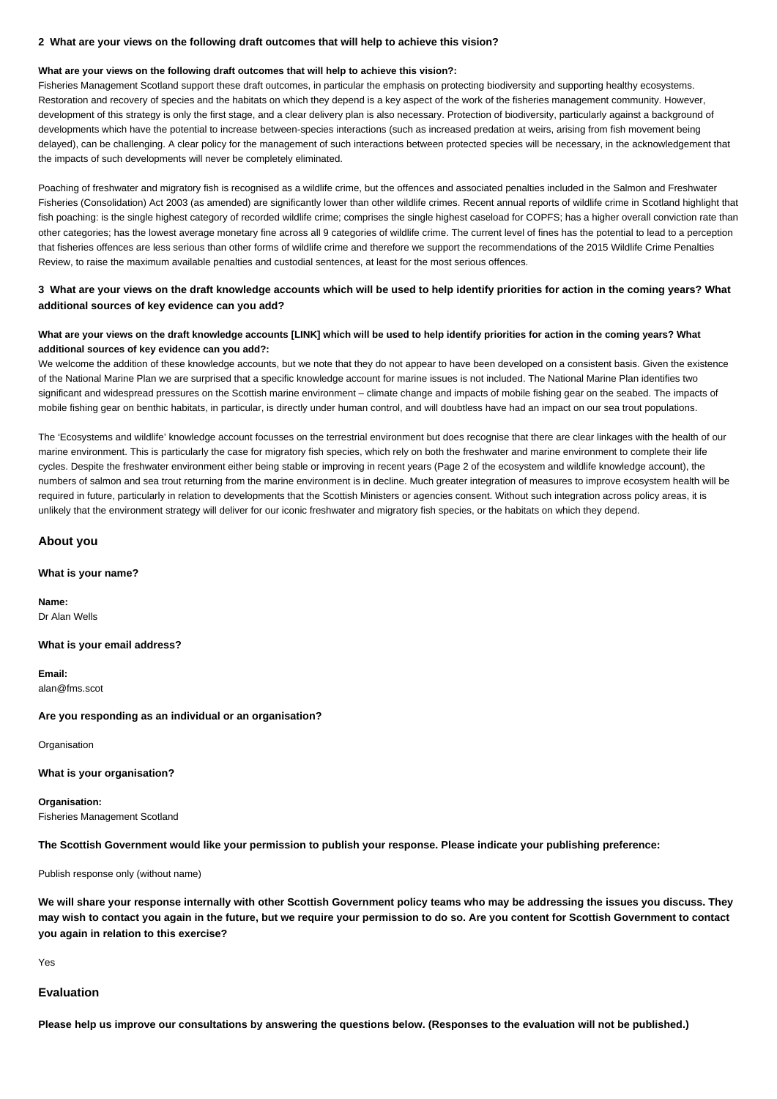### **2 What are your views on the following draft outcomes that will help to achieve this vision?**

### **What are your views on the following draft outcomes that will help to achieve this vision?:**

Fisheries Management Scotland support these draft outcomes, in particular the emphasis on protecting biodiversity and supporting healthy ecosystems. Restoration and recovery of species and the habitats on which they depend is a key aspect of the work of the fisheries management community. However, development of this strategy is only the first stage, and a clear delivery plan is also necessary. Protection of biodiversity, particularly against a background of developments which have the potential to increase between-species interactions (such as increased predation at weirs, arising from fish movement being delayed), can be challenging. A clear policy for the management of such interactions between protected species will be necessary, in the acknowledgement that the impacts of such developments will never be completely eliminated.

Poaching of freshwater and migratory fish is recognised as a wildlife crime, but the offences and associated penalties included in the Salmon and Freshwater Fisheries (Consolidation) Act 2003 (as amended) are significantly lower than other wildlife crimes. Recent annual reports of wildlife crime in Scotland highlight that fish poaching: is the single highest category of recorded wildlife crime; comprises the single highest caseload for COPFS; has a higher overall conviction rate than other categories; has the lowest average monetary fine across all 9 categories of wildlife crime. The current level of fines has the potential to lead to a perception that fisheries offences are less serious than other forms of wildlife crime and therefore we support the recommendations of the 2015 Wildlife Crime Penalties Review, to raise the maximum available penalties and custodial sentences, at least for the most serious offences.

## **3 What are your views on the draft knowledge accounts which will be used to help identify priorities for action in the coming years? What additional sources of key evidence can you add?**

## **What are your views on the draft knowledge accounts [LINK] which will be used to help identify priorities for action in the coming years? What additional sources of key evidence can you add?:**

We welcome the addition of these knowledge accounts, but we note that they do not appear to have been developed on a consistent basis. Given the existence of the National Marine Plan we are surprised that a specific knowledge account for marine issues is not included. The National Marine Plan identifies two significant and widespread pressures on the Scottish marine environment – climate change and impacts of mobile fishing gear on the seabed. The impacts of mobile fishing gear on benthic habitats, in particular, is directly under human control, and will doubtless have had an impact on our sea trout populations.

The 'Ecosystems and wildlife' knowledge account focusses on the terrestrial environment but does recognise that there are clear linkages with the health of our marine environment. This is particularly the case for migratory fish species, which rely on both the freshwater and marine environment to complete their life cycles. Despite the freshwater environment either being stable or improving in recent years (Page 2 of the ecosystem and wildlife knowledge account), the numbers of salmon and sea trout returning from the marine environment is in decline. Much greater integration of measures to improve ecosystem health will be required in future, particularly in relation to developments that the Scottish Ministers or agencies consent. Without such integration across policy areas, it is unlikely that the environment strategy will deliver for our iconic freshwater and migratory fish species, or the habitats on which they depend.

### **About you**

### **What is your name?**

**Name:** Dr Alan Wells

#### **What is your email address?**

**Email:** alan@fms.scot

#### **Are you responding as an individual or an organisation?**

**Organisation** 

### **What is your organisation?**

**Organisation:** Fisheries Management Scotland

**The Scottish Government would like your permission to publish your response. Please indicate your publishing preference:**

Publish response only (without name)

**We will share your response internally with other Scottish Government policy teams who may be addressing the issues you discuss. They may wish to contact you again in the future, but we require your permission to do so. Are you content for Scottish Government to contact you again in relation to this exercise?**

Yes

# **Evaluation**

**Please help us improve our consultations by answering the questions below. (Responses to the evaluation will not be published.)**